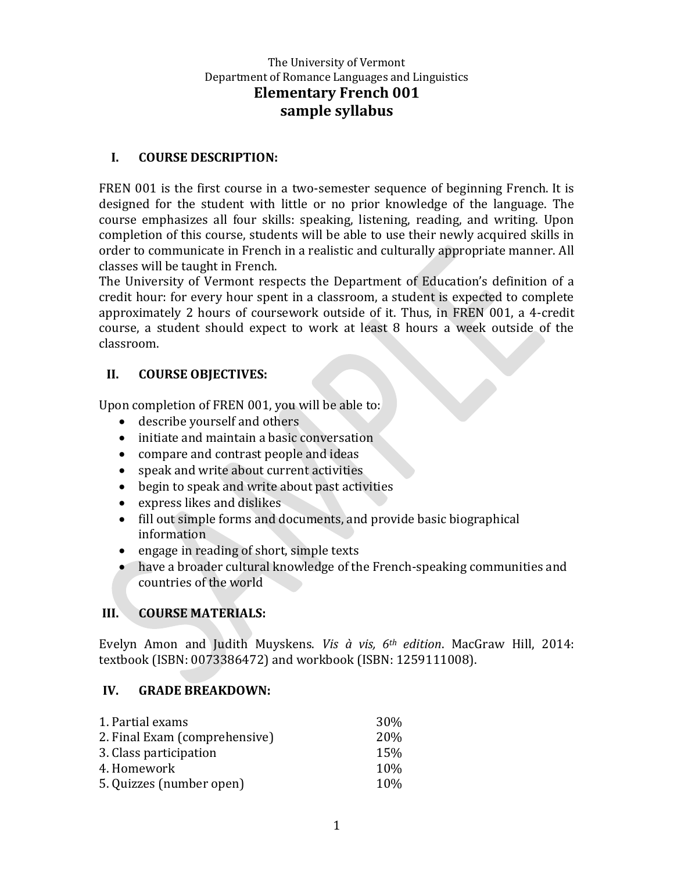## **I. COURSE DESCRIPTION:**

FREN 001 is the first course in a two-semester sequence of beginning French. It is designed for the student with little or no prior knowledge of the language. The course emphasizes all four skills: speaking, listening, reading, and writing. Upon completion of this course, students will be able to use their newly acquired skills in order to communicate in French in a realistic and culturally appropriate manner. All classes will be taught in French.

The University of Vermont respects the Department of Education's definition of a credit hour: for every hour spent in a classroom, a student is expected to complete approximately 2 hours of coursework outside of it. Thus, in FREN 001, a 4-credit course, a student should expect to work at least 8 hours a week outside of the classroom.

### **II. COURSE OBJECTIVES:**

Upon completion of FREN 001, you will be able to:

- describe yourself and others
- initiate and maintain a basic conversation
- compare and contrast people and ideas
- speak and write about current activities
- begin to speak and write about past activities
- express likes and dislikes
- fill out simple forms and documents, and provide basic biographical information
- engage in reading of short, simple texts
- have a broader cultural knowledge of the French-speaking communities and countries of the world

# **III. COURSE MATERIALS:**

Evelyn Amon and Judith Muyskens. *Vis à vis, 6th edition*. MacGraw Hill, 2014: textbook (ISBN: 0073386472) and workbook (ISBN: 1259111008).

# **IV. GRADE BREAKDOWN:**

| 1. Partial exams              | <b>30%</b> |
|-------------------------------|------------|
| 2. Final Exam (comprehensive) | 20%        |
| 3. Class participation        | 15%        |
| 4. Homework                   | 10\%       |
| 5. Quizzes (number open)      | <b>10%</b> |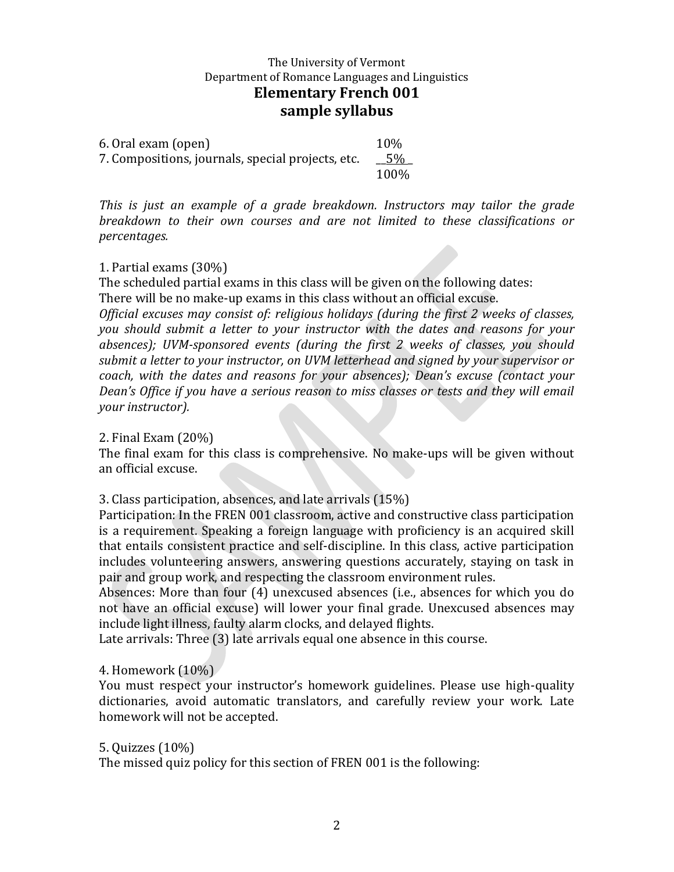6. Oral exam (open) 10% 7. Compositions, journals, special projects, etc.  $\sqrt{5\%}$ 100%

*This is just an example of a grade breakdown. Instructors may tailor the grade breakdown to their own courses and are not limited to these classifications or percentages.*

#### 1. Partial exams (30%)

The scheduled partial exams in this class will be given on the following dates: There will be no make-up exams in this class without an official excuse.

*Official excuses may consist of: religious holidays (during the first 2 weeks of classes, you should submit a letter to your instructor with the dates and reasons for your absences); UVM-sponsored events (during the first 2 weeks of classes, you should submit a letter to your instructor, on UVM letterhead and signed by your supervisor or coach, with the dates and reasons for your absences); Dean's excuse (contact your Dean's Office if you have a serious reason to miss classes or tests and they will email your instructor).*

2. Final Exam (20%)

The final exam for this class is comprehensive. No make-ups will be given without an official excuse.

3. Class participation, absences, and late arrivals (15%)

Participation: In the FREN 001 classroom, active and constructive class participation is a requirement. Speaking a foreign language with proficiency is an acquired skill that entails consistent practice and self-discipline. In this class, active participation includes volunteering answers, answering questions accurately, staying on task in pair and group work, and respecting the classroom environment rules.

Absences: More than four (4) unexcused absences (i.e., absences for which you do not have an official excuse) will lower your final grade. Unexcused absences may include light illness, faulty alarm clocks, and delayed flights.

Late arrivals: Three (3) late arrivals equal one absence in this course.

#### 4. Homework (10%)

You must respect your instructor's homework guidelines. Please use high-quality dictionaries, avoid automatic translators, and carefully review your work. Late homework will not be accepted.

5. Quizzes (10%)

The missed quiz policy for this section of FREN 001 is the following: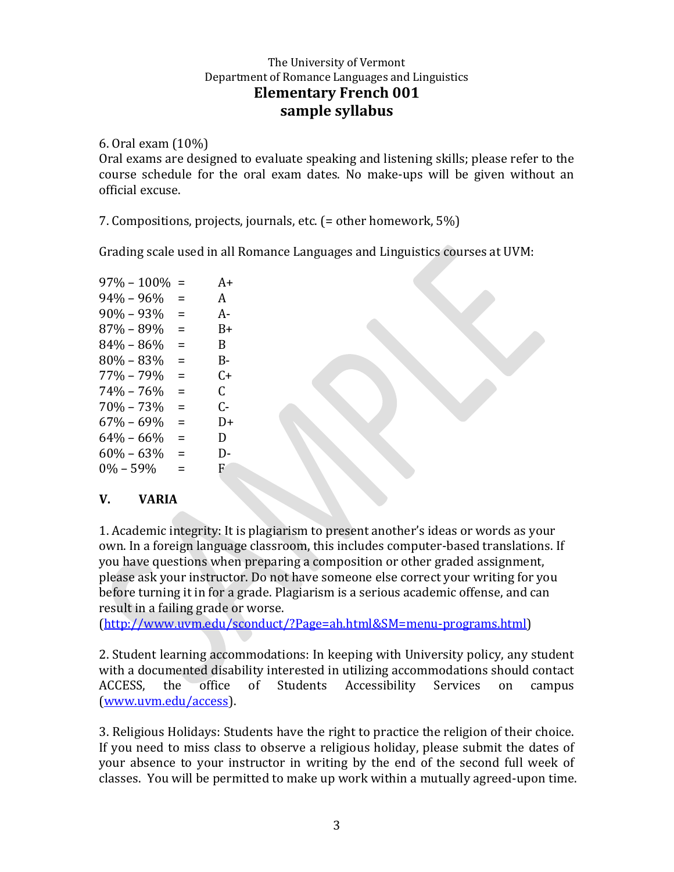6. Oral exam (10%)

Oral exams are designed to evaluate speaking and listening skills; please refer to the course schedule for the oral exam dates. No make-ups will be given without an official excuse.

7. Compositions, projects, journals, etc. (= other homework, 5%)

Grading scale used in all Romance Languages and Linguistics courses at UVM:

| $97\% - 100\%$ | $=$      | A+ |
|----------------|----------|----|
| $94\% - 96\%$  | $\equiv$ | A  |
| $90\% - 93\%$  | =        | А- |
| 87% – 89%      | Ξ        | B+ |
| $84\% - 86\%$  | $\equiv$ | B. |
| $80\% - 83\%$  | $\equiv$ | B- |
| $77\% - 79\%$  | =        | C+ |
| $74\% - 76\%$  | =        | C. |
| $70\% - 73\%$  | $=$      | ር- |
| 67% – 69%      | =        | D+ |
| $64\% - 66\%$  | $=$      | D  |
| $60\% - 63\%$  | =        | D- |
| $0\% - 59\%$   | $\equiv$ | F. |
|                |          |    |

# **V. VARIA**

1. Academic integrity: It is plagiarism to present another's ideas or words as your own. In a foreign language classroom, this includes computer-based translations. If you have questions when preparing a composition or other graded assignment, please ask your instructor. Do not have someone else correct your writing for you before turning it in for a grade. Plagiarism is a serious academic offense, and can result in a failing grade or worse.

[\(http://www.uvm.edu/sconduct/?Page=ah.html&SM=menu-programs.html\)](http://www.uvm.edu/sconduct/?Page=ah.html&SM=menu-programs.html)

2. Student learning accommodations: In keeping with University policy, any student with a documented disability interested in utilizing accommodations should contact ACCESS, the office of Students Accessibility Services on campus [\(www.uvm.edu/access\)](http://www.uvm.edu/access).

3. Religious Holidays: Students have the right to practice the religion of their choice. If you need to miss class to observe a religious holiday, please submit the dates of your absence to your instructor in writing by the end of the second full week of classes. You will be permitted to make up work within a mutually agreed-upon time.